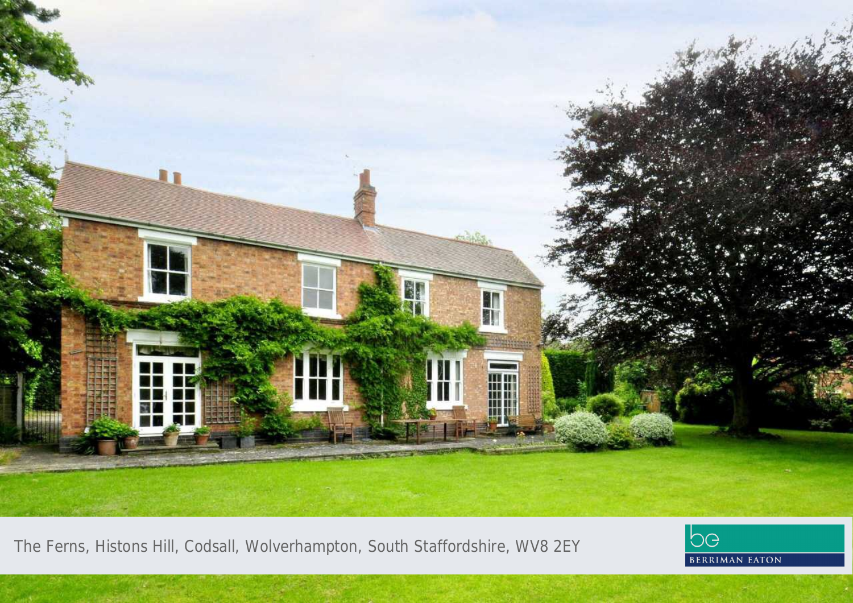

The Ferns, Histons Hill, Codsall, Wolverhampton, South Staffordshire, WV8 2EY

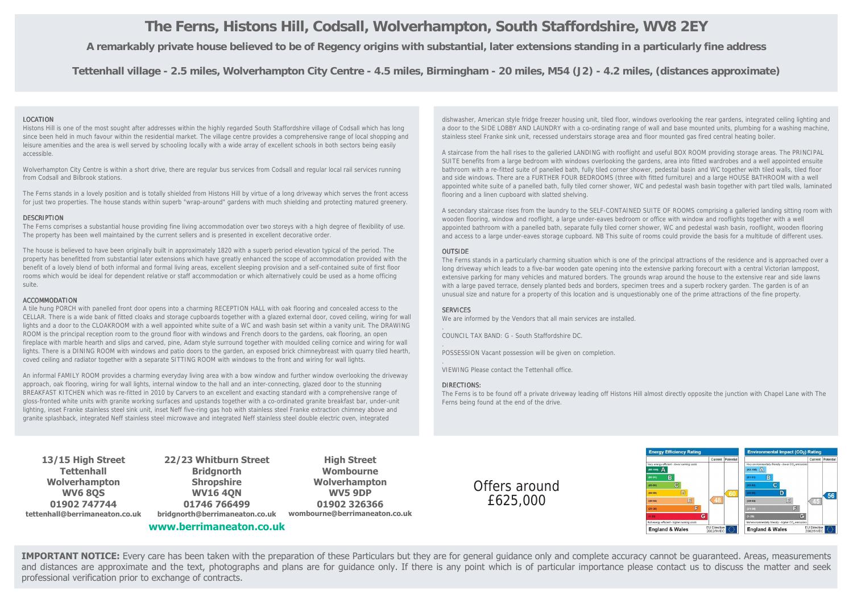# **The Ferns, Histons Hill, Codsall, Wolverhampton, South Staffordshire, WV8 2EY**

**A remarkably private house believed to be of Regency origins with substantial, later extensions standing in a particularly fine address**

**Tettenhall village - 2.5 miles, Wolverhampton City Centre - 4.5 miles, Birmingham - 20 miles, M54 (J2) - 4.2 miles, (distances approximate)**

# LOCATION

Histons Hill is one of the most sought after addresses within the highly regarded South Staffordshire village of Codsall which has long since been held in much favour within the residential market. The village centre provides a comprehensive range of local shopping and leisure amenities and the area is well served by schooling locally with a wide array of excellent schools in both sectors being easily accessible.

Wolverhampton City Centre is within a short drive, there are regular bus services from Codsall and regular local rail services running from Codsall and Bilbrook stations.

The Ferns stands in a lovely position and is totally shielded from Histons Hill by virtue of a long driveway which serves the front access for just two properties. The house stands within superb "wrap-around" gardens with much shielding and protecting matured greenery.

# **DESCRIPTION**

The Ferns comprises a substantial house providing fine living accommodation over two storeys with a high degree of flexibility of use. The property has been well maintained by the current sellers and is presented in excellent decorative order.

The house is believed to have been originally built in approximately 1820 with a superb period elevation typical of the period. The property has benefitted from substantial later extensions which have greatly enhanced the scope of accommodation provided with the benefit of a lovely blend of both informal and formal living areas, excellent sleeping provision and a self-contained suite of first floor rooms which would be ideal for dependent relative or staff accommodation or which alternatively could be used as a home officing suite.

# ACCOMMODATION

A tile hung PORCH with panelled front door opens into a charming RECEPTION HALL with oak flooring and concealed access to the CELLAR. There is a wide bank of fitted cloaks and storage cupboards together with a glazed external door, coved ceiling, wiring for wall lights and a door to the CLOAKROOM with a well appointed white suite of a WC and wash basin set within a vanity unit. The DRAWING ROOM is the principal reception room to the ground floor with windows and French doors to the gardens, oak flooring, an open fireplace with marble hearth and slips and carved, pine, Adam style surround together with moulded ceiling cornice and wiring for wall lights. There is a DINING ROOM with windows and patio doors to the garden, an exposed brick chimneybreast with quarry tiled hearth, coved ceiling and radiator together with a separate SITTING ROOM with windows to the front and wiring for wall lights.

An informal FAMILY ROOM provides a charming everyday living area with a bow window and further window overlooking the driveway approach, oak flooring, wiring for wall lights, internal window to the hall and an inter-connecting, glazed door to the stunning BREAKFAST KITCHEN which was re-fitted in 2010 by Carvers to an excellent and exacting standard with a comprehensive range of gloss-fronted white units with granite working surfaces and upstands together with a co-ordinated granite breakfast bar, under-unit lighting, inset Franke stainless steel sink unit, inset Neff five-ring gas hob with stainless steel Franke extraction chimney above and granite splashback, integrated Neff stainless steel microwave and integrated Neff stainless steel double electric oven, integrated

dishwasher, American style fridge freezer housing unit, tiled floor, windows overlooking the rear gardens, integrated ceiling lighting and a door to the SIDE LOBBY AND LAUNDRY with a co-ordinating range of wall and base mounted units, plumbing for a washing machine, stainless steel Franke sink unit, recessed understairs storage area and floor mounted gas fired central heating boiler.

A staircase from the hall rises to the galleried LANDING with rooflight and useful BOX ROOM providing storage areas. The PRINCIPAL SUITE benefits from a large bedroom with windows overlooking the gardens, area into fitted wardrobes and a well appointed ensuite bathroom with a re-fitted suite of panelled bath, fully tiled corner shower, pedestal basin and WC together with tiled walls, tiled floor and side windows. There are a FURTHER FOUR BEDROOMS (three with fitted furniture) and a large HOUSE BATHROOM with a well appointed white suite of a panelled bath, fully tiled corner shower, WC and pedestal wash basin together with part tiled walls, laminated flooring and a linen cupboard with slatted shelving.

A secondary staircase rises from the laundry to the SELF-CONTAINED SUITE OF ROOMS comprising a galleried landing sitting room with wooden flooring, window and rooflight, a large under-eaves bedroom or office with window and rooflights together with a well appointed bathroom with a panelled bath, separate fully tiled corner shower, WC and pedestal wash basin, rooflight, wooden flooring and access to a large under-eaves storage cupboard. NB This suite of rooms could provide the basis for a multitude of different uses.

# **OUTSIDE**

The Ferns stands in a particularly charming situation which is one of the principal attractions of the residence and is approached over a long driveway which leads to a five-bar wooden gate opening into the extensive parking forecourt with a central Victorian lamppost, extensive parking for many vehicles and matured borders. The grounds wrap around the house to the extensive rear and side lawns with a large paved terrace, densely planted beds and borders, specimen trees and a superb rockery garden. The garden is of an unusual size and nature for a property of this location and is unquestionably one of the prime attractions of the fine property.

### SERVICES

.

.

.

We are informed by the Vendors that all main services are installed.

COUNCIL TAX BAND: G - South Staffordshire DC.

POSSESSION Vacant possession will be given on completion.

VIEWING Please contact the Tettenhall office.

### DIRECTIONS:

The Ferns is to be found off a private driveway leading off Histons Hill almost directly opposite the junction with Chapel Lane with The Ferns being found at the end of the drive.

**13/15 High Street Tettenhall Wolverhampton WV6 8QS 01902 747744 tettenhall@berrimaneaton.co.uk**

**22/23 Whitburn Street Bridgnorth Shropshire WV16 4QN 01746 766499 bridgnorth@berrimaneaton.co.uk**

**www.berrimaneaton.co.uk**

**High Street Wombourne Wolverhampton WV5 9DP 01902 326366 wombourne@berrimaneaton.co.uk**

Offers around £625,000



**IMPORTANT NOTICE:** Every care has been taken with the preparation of these Particulars but they are for general guidance only and complete accuracy cannot be guaranteed. Areas, measurements and distances are approximate and the text, photographs and plans are for guidance only. If there is any point which is of particular importance please contact us to discuss the matter and seek professional verification prior to exchange of contracts.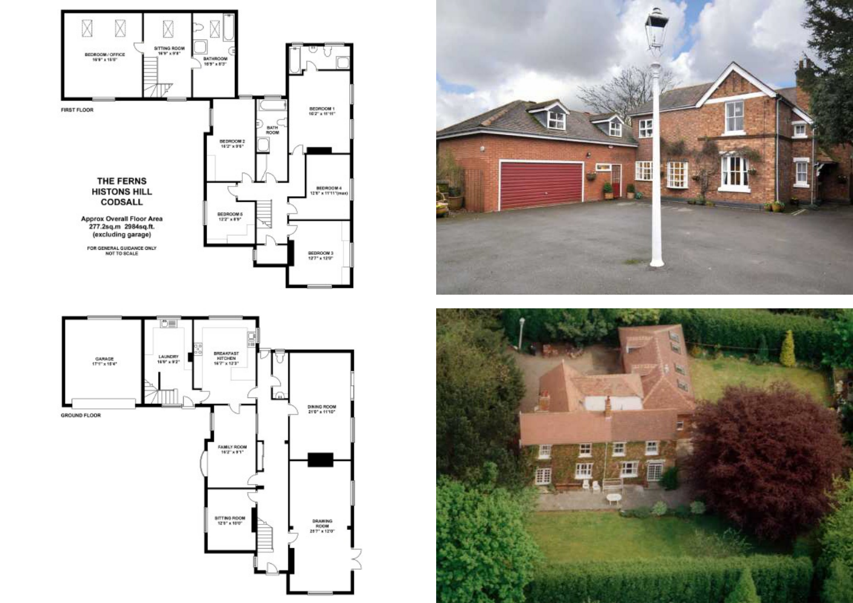